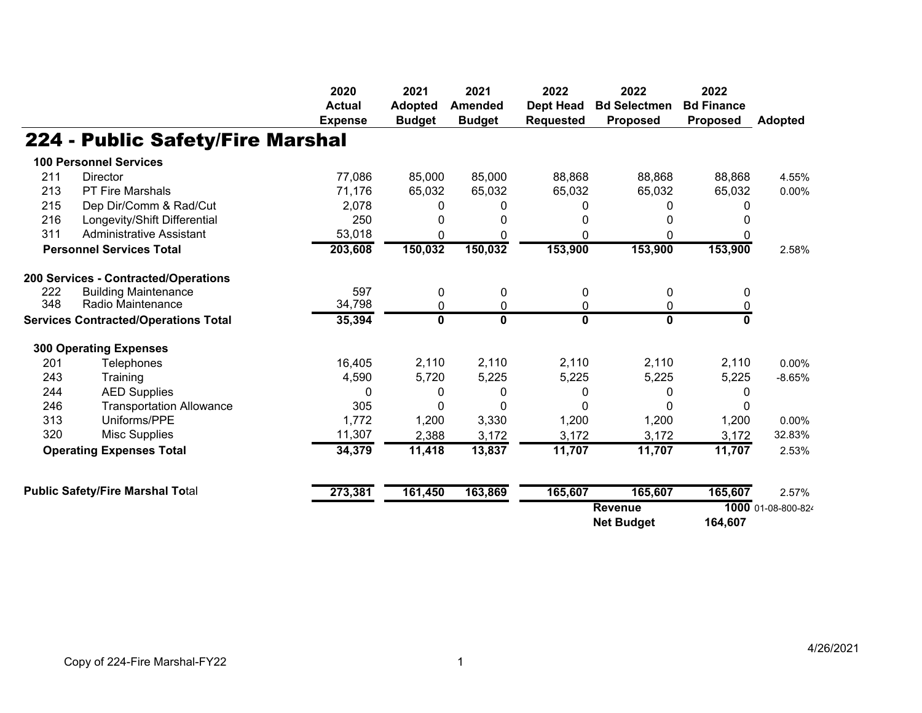|     |                                             | 2020                            | 2021                            | 2021                            | 2022                                 | 2022                                   | 2022                                 |                    |
|-----|---------------------------------------------|---------------------------------|---------------------------------|---------------------------------|--------------------------------------|----------------------------------------|--------------------------------------|--------------------|
|     |                                             | <b>Actual</b><br><b>Expense</b> | <b>Adopted</b><br><b>Budget</b> | <b>Amended</b><br><b>Budget</b> | <b>Dept Head</b><br><b>Requested</b> | <b>Bd Selectmen</b><br><b>Proposed</b> | <b>Bd Finance</b><br><b>Proposed</b> | <b>Adopted</b>     |
|     |                                             |                                 |                                 |                                 |                                      |                                        |                                      |                    |
|     | 224 - Public Safety/Fire Marshal            |                                 |                                 |                                 |                                      |                                        |                                      |                    |
|     | <b>100 Personnel Services</b>               |                                 |                                 |                                 |                                      |                                        |                                      |                    |
| 211 | <b>Director</b>                             | 77,086                          | 85,000                          | 85,000                          | 88,868                               | 88,868                                 | 88,868                               | 4.55%              |
| 213 | <b>PT Fire Marshals</b>                     | 71,176                          | 65,032                          | 65,032                          | 65,032                               | 65,032                                 | 65,032                               | 0.00%              |
| 215 | Dep Dir/Comm & Rad/Cut                      | 2,078                           | 0                               | 0                               |                                      |                                        | <sup>0</sup>                         |                    |
| 216 | Longevity/Shift Differential                | 250                             | 0                               | 0                               |                                      |                                        |                                      |                    |
| 311 | <b>Administrative Assistant</b>             | 53,018                          | 0                               | $\Omega$                        | 0                                    | 0                                      |                                      |                    |
|     | <b>Personnel Services Total</b>             | 203,608                         | 150,032                         | 150,032                         | 153,900                              | 153,900                                | 153,900                              | 2.58%              |
|     | 200 Services - Contracted/Operations        |                                 |                                 |                                 |                                      |                                        |                                      |                    |
| 222 | <b>Building Maintenance</b>                 | 597                             | 0                               | $\mathbf 0$                     | 0                                    | 0                                      | $\mathbf{0}$                         |                    |
| 348 | Radio Maintenance                           | 34,798                          | 0                               | 0                               | 0                                    | 0                                      | 0                                    |                    |
|     | <b>Services Contracted/Operations Total</b> | 35,394                          | $\mathbf 0$                     | $\overline{\mathbf{0}}$         | 0                                    | $\mathbf 0$                            | 0                                    |                    |
|     | <b>300 Operating Expenses</b>               |                                 |                                 |                                 |                                      |                                        |                                      |                    |
| 201 | <b>Telephones</b>                           | 16,405                          | 2,110                           | 2,110                           | 2,110                                | 2,110                                  | 2,110                                | 0.00%              |
| 243 | Training                                    | 4,590                           | 5,720                           | 5,225                           | 5,225                                | 5,225                                  | 5,225                                | $-8.65%$           |
| 244 | <b>AED Supplies</b>                         | 0                               | 0                               | 0                               | 0                                    | 0                                      | 0                                    |                    |
| 246 | <b>Transportation Allowance</b>             | 305                             | 0                               | 0                               | 0                                    | 0                                      | 0                                    |                    |
| 313 | Uniforms/PPE                                | 1,772                           | 1,200                           | 3,330                           | 1,200                                | 1,200                                  | 1,200                                | 0.00%              |
| 320 | <b>Misc Supplies</b>                        | 11,307                          | 2,388                           | 3,172                           | 3,172                                | 3,172                                  | 3,172                                | 32.83%             |
|     | <b>Operating Expenses Total</b>             | 34,379                          | 11,418                          | 13,837                          | 11,707                               | 11,707                                 | 11,707                               | 2.53%              |
|     | <b>Public Safety/Fire Marshal Total</b>     |                                 |                                 |                                 | 165,607                              | 165,607                                | 165,607                              | 2.57%              |
|     |                                             | 273,381                         | 161,450                         | 163,869                         |                                      |                                        |                                      |                    |
|     |                                             |                                 |                                 |                                 |                                      | <b>Revenue</b>                         |                                      | 1000 01-08-800-824 |
|     |                                             |                                 |                                 |                                 |                                      | <b>Net Budget</b>                      | 164,607                              |                    |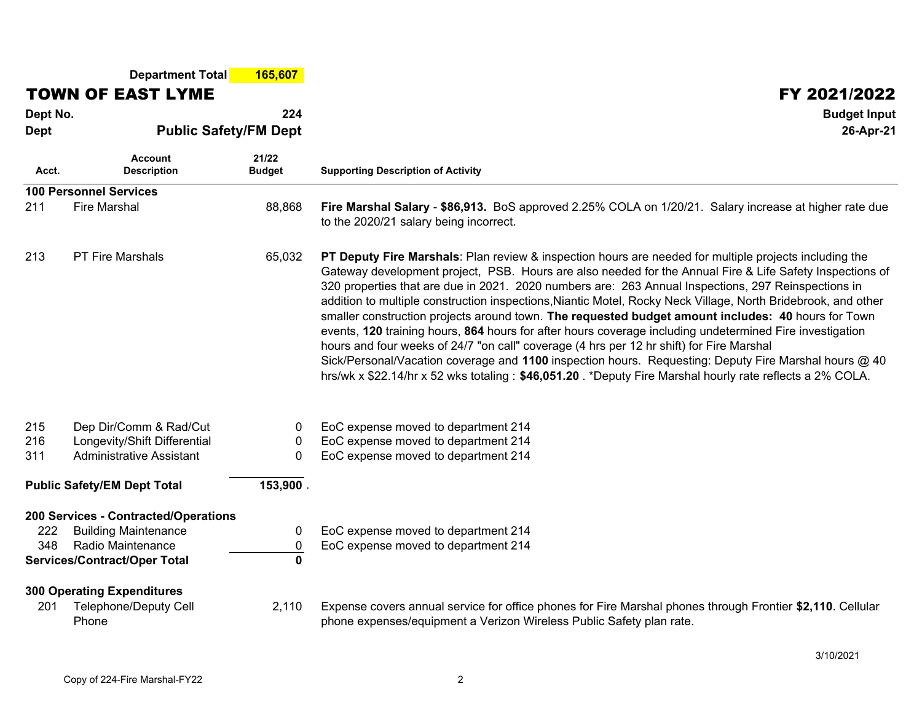|                                                                                            | <b>Department Total</b>                                                                                                         | 165,607                       |                                                                                                                                                                                                                                                                                                                                                                                                                                                                                                                                                                                                                                                                                                                                                                                                                                                                                                                                                                                 |  |  |  |  |  |
|--------------------------------------------------------------------------------------------|---------------------------------------------------------------------------------------------------------------------------------|-------------------------------|---------------------------------------------------------------------------------------------------------------------------------------------------------------------------------------------------------------------------------------------------------------------------------------------------------------------------------------------------------------------------------------------------------------------------------------------------------------------------------------------------------------------------------------------------------------------------------------------------------------------------------------------------------------------------------------------------------------------------------------------------------------------------------------------------------------------------------------------------------------------------------------------------------------------------------------------------------------------------------|--|--|--|--|--|
|                                                                                            | <b>TOWN OF EAST LYME</b>                                                                                                        |                               | FY 2021/2022                                                                                                                                                                                                                                                                                                                                                                                                                                                                                                                                                                                                                                                                                                                                                                                                                                                                                                                                                                    |  |  |  |  |  |
| Dept No.                                                                                   |                                                                                                                                 | 224                           | <b>Budget Input</b>                                                                                                                                                                                                                                                                                                                                                                                                                                                                                                                                                                                                                                                                                                                                                                                                                                                                                                                                                             |  |  |  |  |  |
| <b>Dept</b>                                                                                | <b>Public Safety/FM Dept</b>                                                                                                    |                               | 26-Apr-21                                                                                                                                                                                                                                                                                                                                                                                                                                                                                                                                                                                                                                                                                                                                                                                                                                                                                                                                                                       |  |  |  |  |  |
| Acct.                                                                                      | <b>Account</b><br><b>Description</b>                                                                                            | 21/22<br><b>Budget</b>        | <b>Supporting Description of Activity</b>                                                                                                                                                                                                                                                                                                                                                                                                                                                                                                                                                                                                                                                                                                                                                                                                                                                                                                                                       |  |  |  |  |  |
|                                                                                            | <b>100 Personnel Services</b>                                                                                                   |                               |                                                                                                                                                                                                                                                                                                                                                                                                                                                                                                                                                                                                                                                                                                                                                                                                                                                                                                                                                                                 |  |  |  |  |  |
| 211                                                                                        | <b>Fire Marshal</b>                                                                                                             | 88,868                        | Fire Marshal Salary - \$86,913. BoS approved 2.25% COLA on 1/20/21. Salary increase at higher rate due<br>to the 2020/21 salary being incorrect.                                                                                                                                                                                                                                                                                                                                                                                                                                                                                                                                                                                                                                                                                                                                                                                                                                |  |  |  |  |  |
| 213                                                                                        | <b>PT Fire Marshals</b>                                                                                                         | 65,032                        | PT Deputy Fire Marshals: Plan review & inspection hours are needed for multiple projects including the<br>Gateway development project, PSB. Hours are also needed for the Annual Fire & Life Safety Inspections of<br>320 properties that are due in 2021. 2020 numbers are: 263 Annual Inspections, 297 Reinspections in<br>addition to multiple construction inspections, Niantic Motel, Rocky Neck Village, North Bridebrook, and other<br>smaller construction projects around town. The requested budget amount includes: 40 hours for Town<br>events, 120 training hours, 864 hours for after hours coverage including undetermined Fire investigation<br>hours and four weeks of 24/7 "on call" coverage (4 hrs per 12 hr shift) for Fire Marshal<br>Sick/Personal/Vacation coverage and 1100 inspection hours. Requesting: Deputy Fire Marshal hours @ 40<br>hrs/wk x \$22.14/hr x 52 wks totaling : \$46,051.20 . *Deputy Fire Marshal hourly rate reflects a 2% COLA. |  |  |  |  |  |
| 215<br>216<br>311                                                                          | Dep Dir/Comm & Rad/Cut<br>Longevity/Shift Differential<br>Administrative Assistant                                              | 0<br>$\mathbf{0}$<br>$\Omega$ | EoC expense moved to department 214<br>EoC expense moved to department 214<br>EoC expense moved to department 214                                                                                                                                                                                                                                                                                                                                                                                                                                                                                                                                                                                                                                                                                                                                                                                                                                                               |  |  |  |  |  |
| 153,900.<br><b>Public Safety/EM Dept Total</b>                                             |                                                                                                                                 |                               |                                                                                                                                                                                                                                                                                                                                                                                                                                                                                                                                                                                                                                                                                                                                                                                                                                                                                                                                                                                 |  |  |  |  |  |
| 222<br>348                                                                                 | 200 Services - Contracted/Operations<br><b>Building Maintenance</b><br>Radio Maintenance<br><b>Services/Contract/Oper Total</b> | 0<br>0<br>$\mathbf{0}$        | EoC expense moved to department 214<br>EoC expense moved to department 214                                                                                                                                                                                                                                                                                                                                                                                                                                                                                                                                                                                                                                                                                                                                                                                                                                                                                                      |  |  |  |  |  |
| <b>300 Operating Expenditures</b><br><b>Telephone/Deputy Cell</b><br>2,110<br>201<br>Phone |                                                                                                                                 |                               | Expense covers annual service for office phones for Fire Marshal phones through Frontier \$2,110. Cellular<br>phone expenses/equipment a Verizon Wireless Public Safety plan rate.                                                                                                                                                                                                                                                                                                                                                                                                                                                                                                                                                                                                                                                                                                                                                                                              |  |  |  |  |  |